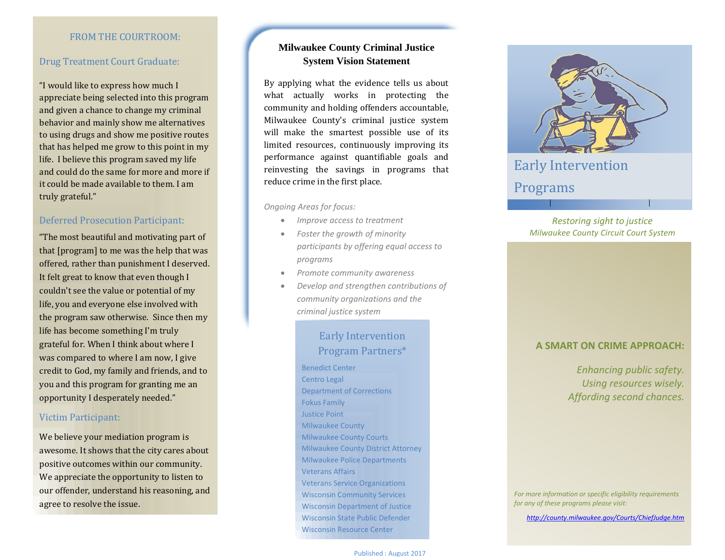#### FROM THE COURTROOM:

#### Drug Treatment Court Graduate:

"I would like to express how much I appreciate being selected into this program and given a chance to change my criminal behavior and mainly show me alternatives to using drugs and show me positive routes that has helped me grow to this point in my life. I believe this program saved my life and could do the same for more and more if it could be made available to them. I am truly grateful."

#### Deferred Prosecution Participant:

"The most beautiful and motivating part of that [program] to me was the help that was offered, rather than punishment I deserved. It felt great to know that even though I couldn't see the value or potential of my life, you and everyone else involved with the program saw otherwise. Since then my life has become something I'm truly grateful for. When I think about where I was compared to where I am now, I give credit to God, my family and friends, and to you and this program for granting me an opportunity I desperately needed."

#### Victim Participant:

We believe your mediation program is awesome. It shows that the city cares about positive outcomes within our community. We appreciate the opportunity to listen to our offender, understand his reasoning, and agree to resolve the issue.

### **Milwaukee County Criminal Justice System Vision Statement**

By applying what the evidence tells us about what actually works in protecting the community and holding offenders accountable, Milwaukee County's criminal justice system will make the smartest possible use of its limited resources, continuously improving its performance against quantifiable goals and reinvesting the savings in programs that reduce crime in the first place.

*Ongoing Areas for focus:*

- *Improve access to treatment*
- *Foster the growth of minority participants by offering equal access to programs*
- *Promote community awareness*
- *Develop and strengthen contributions of community organizations and the criminal justice system*

## Early Intervention Program Partners\*

Benedict Center Centro Legal Department of Corrections Fokus Family Justice Point Milwaukee County Milwaukee County Courts Milwaukee County District Attorney Milwaukee Police Departments Veterans Affairs Veterans Service Organizations Wisconsin Community Services Wisconsin Department of Justice Wisconsin State Public Defender Wisconsin Resource Center



## Ea[rly Intervention](https://openclipart.org/detail/251614/not-so-blindfolded-05)

## Programs

#### *Restoring sight to justice Milwaukee County Circuit Court System*

#### **A SMART ON CRIME APPROACH:**

*Enhancing public safety. Using resources wisely. Affording second chances.*

*For more information or specific eligibility requirements for any of these programs please visit:* 

*<http://county.milwaukee.gov/Courts/ChiefJudge.htm>*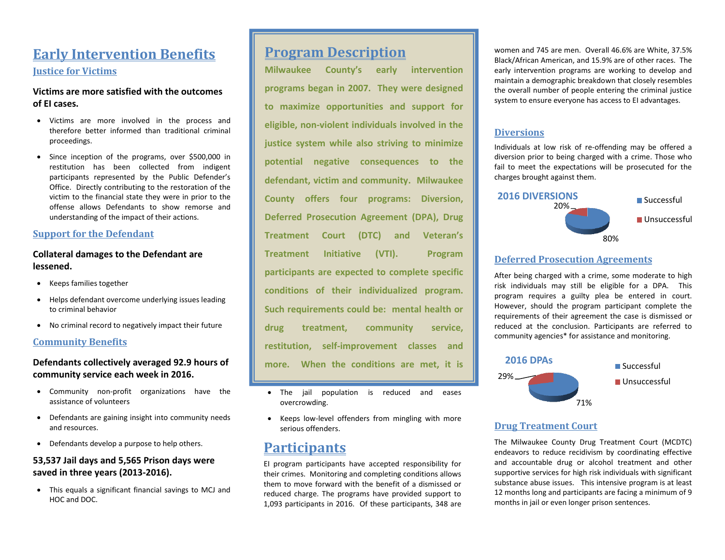# **Early Intervention Benefits Justice for Victims**

#### **Victims are more satisfied with the outcomes of EI cases.**

- Victims are more involved in the process and therefore better informed than traditional criminal proceedings.
- Since inception of the programs, over \$500,000 in restitution has been collected from indigent participants represented by the Public Defender's Office. Directly contributing to the restoration of the victim to the financial state they were in prior to the offense allows Defendants to show remorse and understanding of the impact of their actions.

#### **Support for the Defendant**

#### **Collateral damages to the Defendant are lessened.**

- Keeps families together
- Helps defendant overcome underlying issues leading to criminal behavior
- No criminal record to negatively impact their future

#### **Community Benefits**

#### **Defendants collectively averaged 92.9 hours of community service each week in 2016.**

- Community non-profit organizations have the assistance of volunteers
- Defendants are gaining insight into community needs and resources.
- Defendants develop a purpose to help others.

### **53,537 Jail days and 5,565 Prison days were saved in three years (2013-2016).**

 This equals a significant financial savings to MCJ and HOC and DOC.

## **Program Description**

**Milwaukee County's early intervention programs began in 2007. They were designed to maximize opportunities and support for eligible, non-violent individuals involved in the justice system while also striving to minimize potential negative consequences to the defendant, victim and community. Milwaukee County offers four programs: Diversion, Deferred Prosecution Agreement (DPA), Drug Treatment Court (DTC) and Veteran's Treatment Initiative (VTI). Program participants are expected to complete specific conditions of their individualized program. Such requirements could be: mental health or drug treatment, community service, restitution, self-improvement classes and more. When the conditions are met, it is** 

- The jail population is reduced and eases overcrowding. **deemed a successful outcome.**
- Keeps low-level offenders from mingling with more serious offenders.

# **Participants**

EI program participants have accepted responsibility for their crimes. Monitoring and completing conditions allows them to move forward with the benefit of a dismissed or reduced charge. The programs have provided support to 1,093 participants in 2016. Of these participants, 348 are women and 745 are men. Overall 46.6% are White, 37.5% Black/African American, and 15.9% are of other races. The early intervention programs are working to develop and maintain a demographic breakdown that closely resembles the overall number of people entering the criminal justice system to ensure everyone has access to EI advantages.

#### **Diversions**

Individuals at low risk of re-offending may be offered a diversion prior to being charged with a crime. Those who fail to meet the expectations will be prosecuted for the charges brought against them.



#### **Deferred Prosecution Agreements**

After being charged with a crime, some moderate to high risk individuals may still be eligible for a DPA. This program requires a guilty plea be entered in court. However, should the program participant complete the requirements of their agreement the case is dismissed or reduced at the conclusion. Participants are referred to community agencies\* for assistance and monitoring.



#### **Drug Treatment Court**

The Milwaukee County Drug Treatment Court (MCDTC) endeavors to reduce recidivism by coordinating effective and accountable drug or alcohol treatment and other supportive services for high risk individuals with significant substance abuse issues. This intensive program is at least 12 months long and participants are facing a minimum of 9 months in jail or even longer prison sentences.